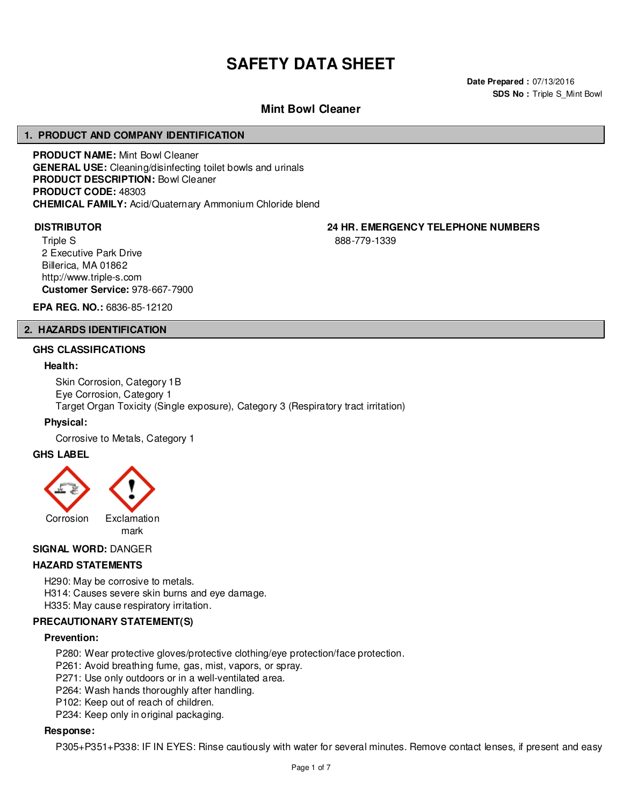# **SAFETY DATA SHEET**

**Date Prepared :** 07/13/2016 **SDS No : Triple S Mint Bowl** 

# **Mint Bowl Cleaner**

#### **1. PRODUCT AND COMPANY IDENTIFICATION**

**PRODUCT NAME:** Mint Bowl Cleaner **GENERAL USE:** Cleaning/disinfecting toilet bowls and urinals **PRODUCT DESCRIPTION:** Bowl Cleaner **PRODUCT CODE:** 48303 **CHEMICAL FAMILY:** Acid/Quaternary Ammonium Chloride blend

Triple S 2 Executive Park Drive Billerica, MA 01862 http://www.triple-s.com **Customer Service:** 978-667-7900

**DISTRIBUTOR 24 HR. EMERGENCY TELEPHONE NUMBERS**

888-779-1339

**EPA REG. NO.:** 6836-85-12120

#### **2. HAZARDS IDENTIFICATION**

#### **GHS CLASSIFICATIONS**

#### **Health:**

Skin Corrosion, Category 1B Eye Corrosion, Category 1 Target Organ Toxicity (Single exposure), Category 3 (Respiratory tract irritation)

#### **Physical:**

Corrosive to Metals, Category 1

#### **GHS LABEL**



# **SIGNAL WORD:** DANGER

# **HAZARD STATEMENTS**

H290: May be corrosive to metals. H314: Causes severe skin burns and eye damage. H335: May cause respiratory irritation.

# **PRECAUTIONARY STATEMENT(S)**

#### **Prevention:**

P280: Wear protective gloves/protective clothing/eye protection/face protection.

P261: Avoid breathing fume, gas, mist, vapors, or spray.

P271: Use only outdoors or in a well-ventilated area.

- P264: Wash hands thoroughly after handling.
- P102: Keep out of reach of children.
- P234: Keep only in original packaging.

#### **Response:**

P305+P351+P338: IF IN EYES: Rinse cautiously with water for several minutes. Remove contact lenses, if present and easy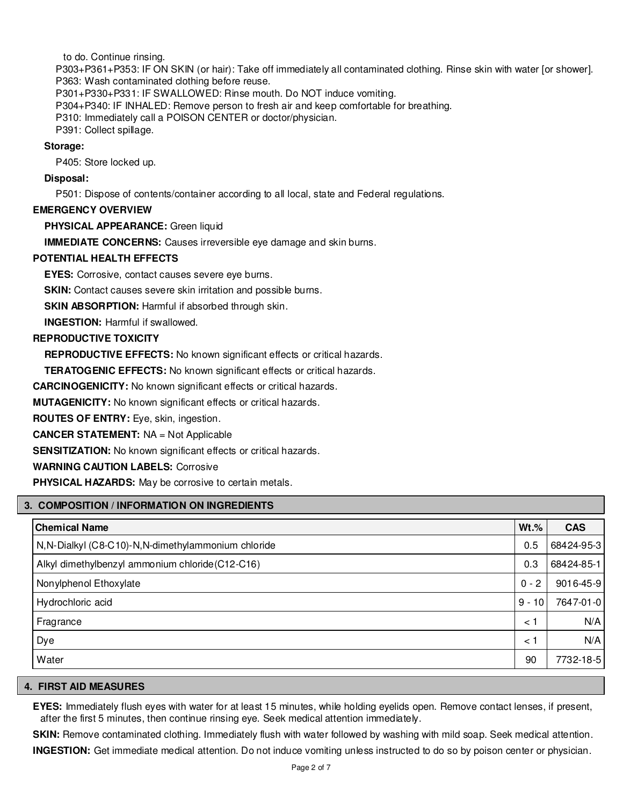to do. Continue rinsing.

P303+P361+P353: IF ON SKIN (or hair): Take off immediately all contaminated clothing. Rinse skin with water [or shower]. P363: Wash contaminated clothing before reuse.

P301+P330+P331: IF SWALLOWED: Rinse mouth. Do NOT induce vomiting.

P304+P340: IF INHALED: Remove person to fresh air and keep comfortable for breathing.

P310: Immediately call a POISON CENTER or doctor/physician.

P391: Collect spillage.

# **Storage:**

P405: Store locked up.

# **Disposal:**

P501: Dispose of contents/container according to all local, state and Federal regulations.

# **EMERGENCY OVERVIEW**

**PHYSICAL APPEARANCE:** Green liquid

**IMMEDIATE CONCERNS:** Causes irreversible eye damage and skin burns.

# **POTENTIAL HEALTH EFFECTS**

**EYES:** Corrosive, contact causes severe eye burns.

**SKIN:** Contact causes severe skin irritation and possible burns.

**SKIN ABSORPTION:** Harmful if absorbed through skin.

**INGESTION:** Harmful if swallowed.

# **REPRODUCTIVE TOXICITY**

**REPRODUCTIVE EFFECTS:** No known significant effects or critical hazards.

**TERATOGENIC EFFECTS:** No known significant effects or critical hazards.

**CARCINOGENICITY:** No known significant effects or critical hazards.

**MUTAGENICITY:** No known significant effects or critical hazards.

**ROUTES OF ENTRY:** Eye, skin, ingestion.

**CANCER STATEMENT:** NA = Not Applicable

**SENSITIZATION:** No known significant effects or critical hazards.

# **WARNING CAUTION LABELS:** Corrosive

**PHYSICAL HAZARDS:** May be corrosive to certain metals.

# **3. COMPOSITION / INFORMATION ON INGREDIENTS**

| <b>Chemical Name</b>                                 | $Wt.$ %  | <b>CAS</b> |
|------------------------------------------------------|----------|------------|
| N, N-Dialkyl (C8-C10)-N, N-dimethylammonium chloride | 0.5      | 68424-95-3 |
| Alkyl dimethylbenzyl ammonium chloride (C12-C16)     | 0.3      | 68424-85-1 |
| Nonylphenol Ethoxylate                               | $0 - 2$  | 9016-45-9  |
| Hydrochloric acid                                    | $9 - 10$ | 7647-01-0  |
| Fragrance                                            | < 1      | N/A        |
| Dye                                                  | < 1      | N/A        |
| Water                                                | 90       | 7732-18-5  |

#### **4. FIRST AID MEASURES**

**EYES:** Immediately flush eyes with water for at least 15 minutes, while holding eyelids open. Remove contact lenses, if present, after the first 5 minutes, then continue rinsing eye. Seek medical attention immediately.

**SKIN:** Remove contaminated clothing. Immediately flush with water followed by washing with mild soap. Seek medical attention.

**INGESTION:** Get immediate medical attention. Do not induce vomiting unless instructed to do so by poison center or physician.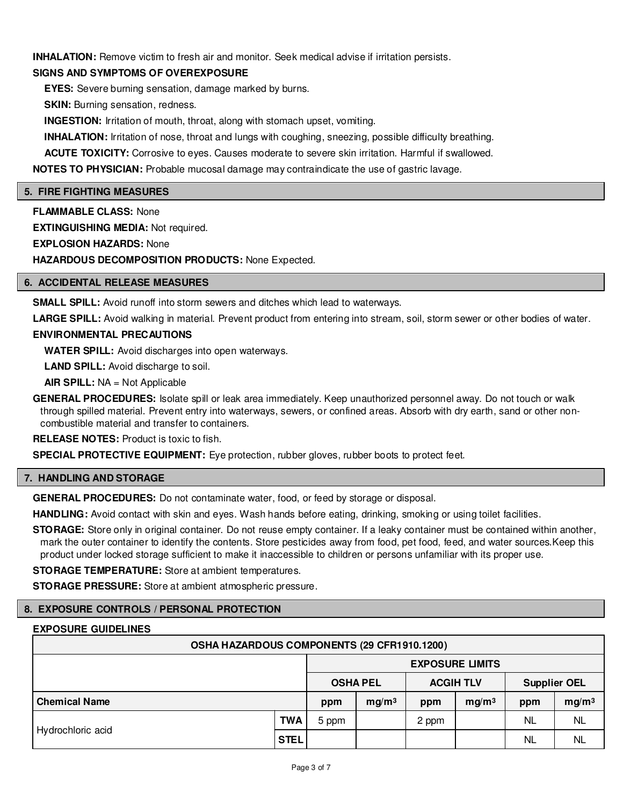**INHALATION:** Remove victim to fresh air and monitor. Seek medical advise if irritation persists.

# **SIGNS AND SYMPTOMS OF OVEREXPOSURE**

**EYES:** Severe burning sensation, damage marked by burns.

**SKIN:** Burning sensation, redness.

**INGESTION:** Irritation of mouth, throat, along with stomach upset, vomiting.

**INHALATION:** Irritation of nose, throat and lungs with coughing, sneezing, possible difficulty breathing.

**ACUTE TOXICITY:** Corrosive to eyes. Causes moderate to severe skin irritation. Harmful if swallowed.

**NOTES TO PHYSICIAN:** Probable mucosal damage may contraindicate the use of gastric lavage.

#### **5. FIRE FIGHTING MEASURES**

**FLAMMABLE CLASS:** None **EXTINGUISHING MEDIA:** Not required. **EXPLOSION HAZARDS:** None **HAZARDOUS DECOMPOSITION PRODUCTS:** None Expected.

# **6. ACCIDENTAL RELEASE MEASURES**

**SMALL SPILL:** Avoid runoff into storm sewers and ditches which lead to waterways.

LARGE SPILL: Avoid walking in material. Prevent product from entering into stream, soil, storm sewer or other bodies of water.

# **ENVIRONMENTAL PRECAUTIONS**

**WATER SPILL:** Avoid discharges into open waterways.

**LAND SPILL:** Avoid discharge to soil.

**AIR SPILL:** NA = Not Applicable

**GENERAL PROCEDURES:** Isolate spill or leak area immediately. Keep unauthorized personnel away. Do not touch or walk through spilled material. Prevent entry into waterways, sewers, or confined areas. Absorb with dry earth, sand or other noncombustible material and transfer to containers.

**RELEASE NOTES:** Product is toxic to fish.

**SPECIAL PROTECTIVE EQUIPMENT:** Eye protection, rubber gloves, rubber boots to protect feet.

#### **7. HANDLING AND STORAGE**

**GENERAL PROCEDURES:** Do not contaminate water, food, or feed by storage or disposal.

**HANDLING:** Avoid contact with skin and eyes. Wash hands before eating, drinking, smoking or using toilet facilities.

**STORAGE:** Store only in original container. Do not reuse empty container. If a leaky container must be contained within another, mark the outer container to identify the contents. Store pesticides away from food, pet food, feed, and water sources.Keep this product under locked storage sufficient to make it inaccessible to children or persons unfamiliar with its proper use.

**STORAGE TEMPERATURE:** Store at ambient temperatures.

**STORAGE PRESSURE:** Store at ambient atmospheric pressure.

#### **8. EXPOSURE CONTROLS / PERSONAL PROTECTION**

#### **EXPOSURE GUIDELINES**

| OSHA HAZARDOUS COMPONENTS (29 CFR1910.1200) |             |                 |                        |                  |                   |                     |                   |  |
|---------------------------------------------|-------------|-----------------|------------------------|------------------|-------------------|---------------------|-------------------|--|
|                                             |             |                 | <b>EXPOSURE LIMITS</b> |                  |                   |                     |                   |  |
|                                             |             | <b>OSHA PEL</b> |                        | <b>ACGIH TLV</b> |                   | <b>Supplier OEL</b> |                   |  |
| <b>Chemical Name</b>                        |             | ppm             | mg/m <sup>3</sup>      | ppm              | mg/m <sup>3</sup> | ppm                 | mg/m <sup>3</sup> |  |
|                                             | TWA         | 5 ppm           |                        | 2 ppm            |                   | NL                  | <b>NL</b>         |  |
| Hydrochloric acid                           | <b>STEL</b> |                 |                        |                  |                   | NL                  | NL                |  |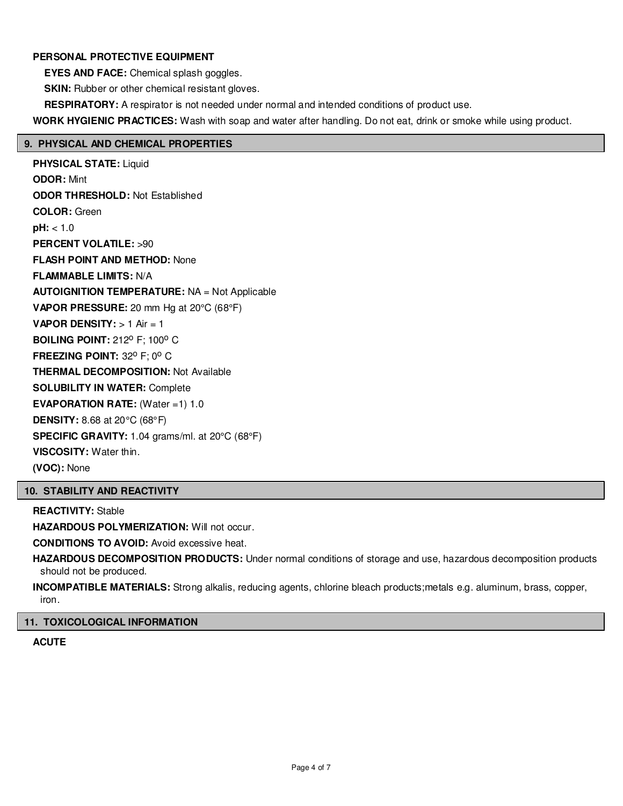# **PERSONAL PROTECTIVE EQUIPMENT**

**EYES AND FACE:** Chemical splash goggles.

**SKIN:** Rubber or other chemical resistant gloves.

**RESPIRATORY:** A respirator is not needed under normal and intended conditions of product use.

**WORK HYGIENIC PRACTICES:** Wash with soap and water after handling. Do not eat, drink or smoke while using product.

# **9. PHYSICAL AND CHEMICAL PROPERTIES**

**PHYSICAL STATE:** Liquid **ODOR:** Mint **ODOR THRESHOLD:** Not Established **COLOR:** Green **pH:** < 1.0 **PERCENT VOLATILE:** >90 **FLASH POINT AND METHOD:** None **FLAMMABLE LIMITS:** N/A **AUTOIGNITION TEMPERATURE:** NA = Not Applicable **VAPOR PRESSURE:** 20 mm Hg at 20°C (68°F) **VAPOR DENSITY:** > 1 Air = 1 **BOILING POINT: 212º F; 100° C FREEZING POINT: 32° F: 0° C THERMAL DECOMPOSITION:** Not Available **SOLUBILITY IN WATER:** Complete **EVAPORATION RATE:** (Water =1) 1.0 **DENSITY:** 8.68 at 20°C (68°F) **SPECIFIC GRAVITY:** 1.04 grams/ml. at 20°C (68°F) **VISCOSITY:** Water thin. **(VOC):** None

# **10. STABILITY AND REACTIVITY**

**REACTIVITY:** Stable

**HAZARDOUS POLYMERIZATION: Will not occur.** 

**CONDITIONS TO AVOID:** Avoid excessive heat.

**HAZARDOUS DECOMPOSITION PRODUCTS:** Under normal conditions of storage and use, hazardous decomposition products should not be produced.

**INCOMPATIBLE MATERIALS:** Strong alkalis, reducing agents, chlorine bleach products;metals e.g. aluminum, brass, copper, iron.

#### **11. TOXICOLOGICAL INFORMATION**

**ACUTE**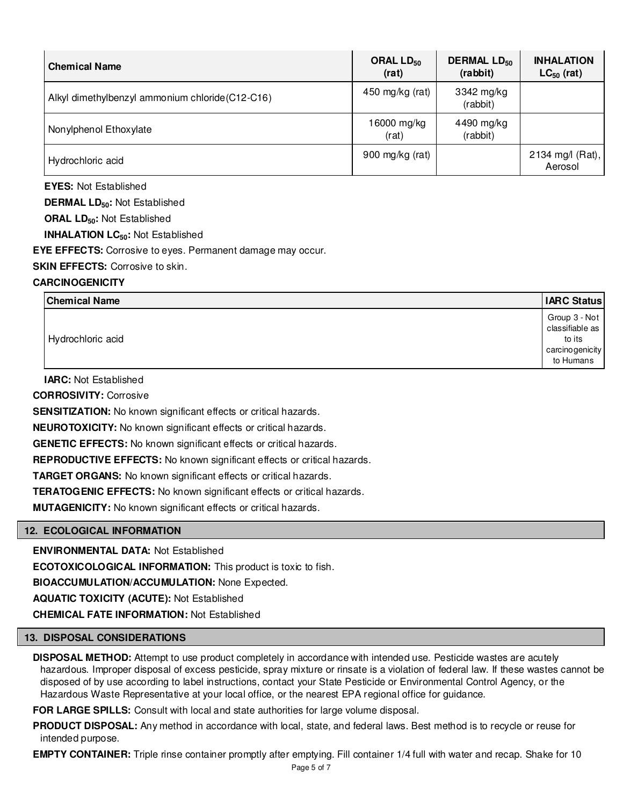| <b>Chemical Name</b>                             | ORAL $LD_{50}$<br>(rat) | <b>DERMAL LD<sub>50</sub></b><br>(rabbit) | <b>INHALATION</b><br>$LC_{50}$ (rat) |
|--------------------------------------------------|-------------------------|-------------------------------------------|--------------------------------------|
| Alkyl dimethylbenzyl ammonium chloride (C12-C16) | 450 mg/kg (rat)         | 3342 mg/kg<br>(rabbit)                    |                                      |
| Nonylphenol Ethoxylate                           | 16000 mg/kg<br>(rat)    | 4490 mg/kg<br>(rabbit)                    |                                      |
| Hydrochloric acid                                | 900 mg/kg (rat)         |                                           | 2134 mg/l (Rat),<br>Aerosol          |

**EYES:** Not Established

**DERMAL LD50:** Not Established

**ORAL LD50:** Not Established

**INHALATION LC50:** Not Established

**EYE EFFECTS:** Corrosive to eyes. Permanent damage may occur.

**SKIN EFFECTS: Corrosive to skin.** 

# **CARCINOGENICITY**

| <b>Chemical Name</b> | <b>IARC Status</b>                                                         |
|----------------------|----------------------------------------------------------------------------|
| Hydrochloric acid    | Group 3 - Not<br>classifiable as<br>to its<br>carcinogenicity<br>to Humans |

**IARC:** Not Established

**CORROSIVITY:** Corrosive

**SENSITIZATION:** No known significant effects or critical hazards.

**NEUROTOXICITY:** No known significant effects or critical hazards.

**GENETIC EFFECTS:** No known significant effects or critical hazards.

**REPRODUCTIVE EFFECTS:** No known significant effects or critical hazards.

**TARGET ORGANS:** No known significant effects or critical hazards.

**TERATOGENIC EFFECTS:** No known significant effects or critical hazards.

**MUTAGENICITY:** No known significant effects or critical hazards.

#### **12. ECOLOGICAL INFORMATION**

**ENVIRONMENTAL DATA:** Not Established

**ECOTOXICOLOGICAL INFORMATION:** This product is toxic to fish.

**BIOACCUMULATION/ACCUMULATION:** None Expected.

**AQUATIC TOXICITY (ACUTE):** Not Established

**CHEMICAL FATE INFORMATION:** Not Established

#### **13. DISPOSAL CONSIDERATIONS**

**DISPOSAL METHOD:** Attempt to use product completely in accordance with intended use. Pesticide wastes are acutely hazardous. Improper disposal of excess pesticide, spray mixture or rinsate is a violation of federal law. If these wastes cannot be disposed of by use according to label instructions, contact your State Pesticide or Environmental Control Agency, or the Hazardous Waste Representative at your local office, or the nearest EPA regional office for guidance.

**FOR LARGE SPILLS:** Consult with local and state authorities for large volume disposal.

**PRODUCT DISPOSAL:** Any method in accordance with local, state, and federal laws. Best method is to recycle or reuse for intended purpose.

**EMPTY CONTAINER:** Triple rinse container promptly after emptying. Fill container 1/4 full with water and recap. Shake for 10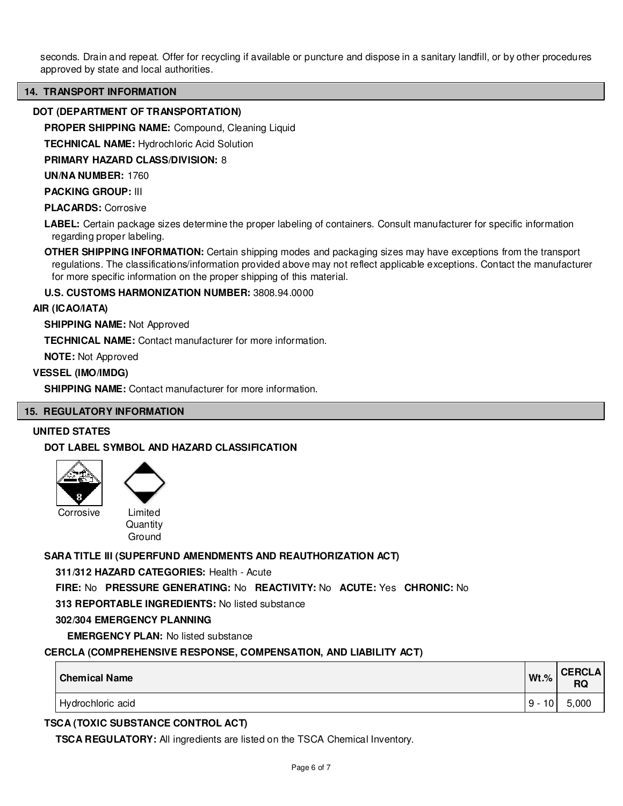seconds. Drain and repeat. Offer for recycling if available or puncture and dispose in a sanitary landfill, or by other procedures approved by state and local authorities.

#### **14. TRANSPORT INFORMATION**

### **DOT (DEPARTMENT OF TRANSPORTATION)**

**PROPER SHIPPING NAME:** Compound, Cleaning Liquid

**TECHNICAL NAME:** Hydrochloric Acid Solution

**PRIMARY HAZARD CLASS/DIVISION:** 8

**UN/NA NUMBER:** 1760

**PACKING GROUP:** III

**PLACARDS:** Corrosive

**LABEL:** Certain package sizes determine the proper labeling of containers. Consult manufacturer for specific information regarding proper labeling.

**OTHER SHIPPING INFORMATION:** Certain shipping modes and packaging sizes may have exceptions from the transport regulations. The classifications/information provided above may not reflect applicable exceptions. Contact the manufacturer for more specific information on the proper shipping of this material.

**U.S. CUSTOMS HARMONIZATION NUMBER:** 3808.94.0000

#### **AIR (ICAO/IATA)**

**SHIPPING NAME:** Not Approved

**TECHNICAL NAME:** Contact manufacturer for more information.

**NOTE:** Not Approved

#### **VESSEL (IMO/IMDG)**

**SHIPPING NAME:** Contact manufacturer for more information.

#### **15. REGULATORY INFORMATION**

#### **UNITED STATES**

# **DOT LABEL SYMBOL AND HAZARD CLASSIFICATION**



**Quantity** Ground

#### **SARA TITLE III (SUPERFUND AMENDMENTS AND REAUTHORIZATION ACT)**

**311/312 HAZARD CATEGORIES:** Health - Acute

**FIRE:** No **PRESSURE GENERATING:** No **REACTIVITY:** No **ACUTE:** Yes **CHRONIC:** No

**313 REPORTABLE INGREDIENTS:** No listed substance

#### **302/304 EMERGENCY PLANNING**

**EMERGENCY PLAN:** No listed substance

#### **CERCLA (COMPREHENSIVE RESPONSE, COMPENSATION, AND LIABILITY ACT)**

| <b>Chemical Name</b> | $Wt.$ % | <b>CERCLA</b><br><b>RQ</b> |
|----------------------|---------|----------------------------|
| Hydrochloric acid    | 10<br>9 | 5,000                      |

# **TSCA (TOXIC SUBSTANCE CONTROL ACT)**

**TSCA REGULATORY:** All ingredients are listed on the TSCA Chemical Inventory.